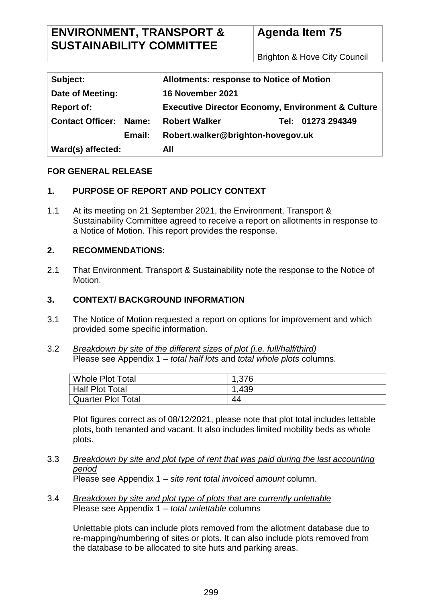Brighton & Hove City Council

| Subject:                      | <b>Allotments: response to Notice of Motion</b>              |  |
|-------------------------------|--------------------------------------------------------------|--|
| Date of Meeting:              | 16 November 2021                                             |  |
| <b>Report of:</b>             | <b>Executive Director Economy, Environment &amp; Culture</b> |  |
| <b>Contact Officer: Name:</b> | Tel: 01273 294349<br><b>Robert Walker</b>                    |  |
| Email:                        | Robert.walker@brighton-hovegov.uk                            |  |
| Ward(s) affected:<br>All      |                                                              |  |

#### **FOR GENERAL RELEASE**

## **1. PURPOSE OF REPORT AND POLICY CONTEXT**

1.1 At its meeting on 21 September 2021, the Environment, Transport & Sustainability Committee agreed to receive a report on allotments in response to a Notice of Motion. This report provides the response.

#### **2. RECOMMENDATIONS:**

2.1 That Environment, Transport & Sustainability note the response to the Notice of Motion.

#### **3. CONTEXT/ BACKGROUND INFORMATION**

- 3.1 The Notice of Motion requested a report on options for improvement and which provided some specific information.
- 3.2 *Breakdown by site of the different sizes of plot (i.e. full/half/third)* Please see Appendix 1 – *total half lots* and *total whole plots* columns.

| Whole Plot Total   | 1,376 |
|--------------------|-------|
| Half Plot Total    | 1,439 |
| Quarter Plot Total | 44    |

Plot figures correct as of 08/12/2021, please note that plot total includes lettable plots, both tenanted and vacant. It also includes limited mobility beds as whole plots.

3.3 *Breakdown by site and plot type of rent that was paid during the last accounting period*

Please see Appendix 1 – *site rent total invoiced amount* column.

3.4 *Breakdown by site and plot type of plots that are currently unlettable* Please see Appendix 1 – *total unlettable* columns

Unlettable plots can include plots removed from the allotment database due to re-mapping/numbering of sites or plots. It can also include plots removed from the database to be allocated to site huts and parking areas.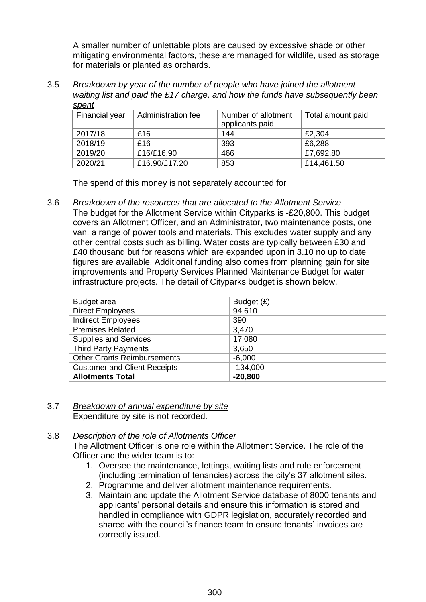A smaller number of unlettable plots are caused by excessive shade or other mitigating environmental factors, these are managed for wildlife, used as storage for materials or planted as orchards.

#### 3.5 *Breakdown by year of the number of people who have joined the allotment waiting list and paid the £17 charge, and how the funds have subsequently been spent*

| 0.0011         |                    |                                        |                   |
|----------------|--------------------|----------------------------------------|-------------------|
| Financial year | Administration fee | Number of allotment<br>applicants paid | Total amount paid |
| 2017/18        | £16                | 144                                    | £2,304            |
| 2018/19        | £16                | 393                                    | £6,288            |
| 2019/20        | £16/£16.90         | 466                                    | £7,692.80         |
| 2020/21        | £16.90/£17.20      | 853                                    | £14,461.50        |

The spend of this money is not separately accounted for

3.6 *Breakdown of the resources that are allocated to the Allotment Service*

The budget for the Allotment Service within Cityparks is -£20,800. This budget covers an Allotment Officer, and an Administrator, two maintenance posts, one van, a range of power tools and materials. This excludes water supply and any other central costs such as billing. Water costs are typically between £30 and £40 thousand but for reasons which are expanded upon in 3.10 no up to date figures are available. Additional funding also comes from planning gain for site improvements and Property Services Planned Maintenance Budget for water infrastructure projects. The detail of Cityparks budget is shown below.

| Budget area                         | Budget $(E)$ |
|-------------------------------------|--------------|
| <b>Direct Employees</b>             | 94,610       |
| <b>Indirect Employees</b>           | 390          |
| <b>Premises Related</b>             | 3,470        |
| <b>Supplies and Services</b>        | 17,080       |
| <b>Third Party Payments</b>         | 3,650        |
| <b>Other Grants Reimbursements</b>  | $-6,000$     |
| <b>Customer and Client Receipts</b> | $-134,000$   |
| <b>Allotments Total</b>             | $-20,800$    |

#### 3.7 *Breakdown of annual expenditure by site* Expenditure by site is not recorded.

## 3.8 *Description of the role of Allotments Officer*

The Allotment Officer is one role within the Allotment Service. The role of the Officer and the wider team is to:

- 1. Oversee the maintenance, lettings, waiting lists and rule enforcement (including termination of tenancies) across the city's 37 allotment sites.
- 2. Programme and deliver allotment maintenance requirements.
- 3. Maintain and update the Allotment Service database of 8000 tenants and applicants' personal details and ensure this information is stored and handled in compliance with GDPR legislation, accurately recorded and shared with the council's finance team to ensure tenants' invoices are correctly issued.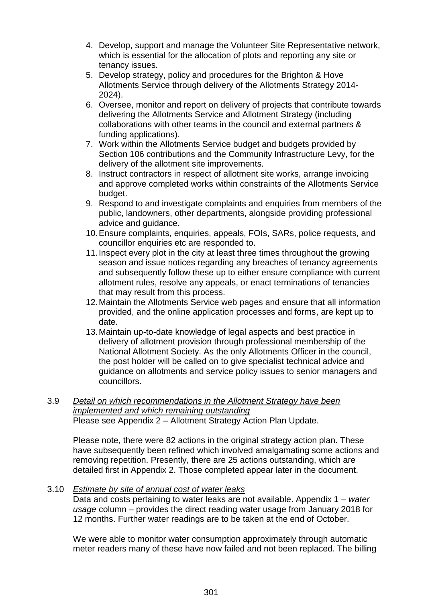- 4. Develop, support and manage the Volunteer Site Representative network, which is essential for the allocation of plots and reporting any site or tenancy issues.
- 5. Develop strategy, policy and procedures for the Brighton & Hove Allotments Service through delivery of the Allotments Strategy 2014- 2024).
- 6. Oversee, monitor and report on delivery of projects that contribute towards delivering the Allotments Service and Allotment Strategy (including collaborations with other teams in the council and external partners & funding applications).
- 7. Work within the Allotments Service budget and budgets provided by Section 106 contributions and the Community Infrastructure Levy, for the delivery of the allotment site improvements.
- 8. Instruct contractors in respect of allotment site works, arrange invoicing and approve completed works within constraints of the Allotments Service budget.
- 9. Respond to and investigate complaints and enquiries from members of the public, landowners, other departments, alongside providing professional advice and guidance.
- 10.Ensure complaints, enquiries, appeals, FOIs, SARs, police requests, and councillor enquiries etc are responded to.
- 11.Inspect every plot in the city at least three times throughout the growing season and issue notices regarding any breaches of tenancy agreements and subsequently follow these up to either ensure compliance with current allotment rules, resolve any appeals, or enact terminations of tenancies that may result from this process.
- 12.Maintain the Allotments Service web pages and ensure that all information provided, and the online application processes and forms, are kept up to date.
- 13.Maintain up-to-date knowledge of legal aspects and best practice in delivery of allotment provision through professional membership of the National Allotment Society. As the only Allotments Officer in the council, the post holder will be called on to give specialist technical advice and guidance on allotments and service policy issues to senior managers and councillors.

#### 3.9 *Detail on which recommendations in the Allotment Strategy have been implemented and which remaining outstanding* Please see Appendix 2 – Allotment Strategy Action Plan Update.

Please note, there were 82 actions in the original strategy action plan. These have subsequently been refined which involved amalgamating some actions and removing repetition. Presently, there are 25 actions outstanding, which are detailed first in Appendix 2. Those completed appear later in the document.

## 3.10 *Estimate by site of annual cost of water leaks*

Data and costs pertaining to water leaks are not available. Appendix 1 – *water usage* column – provides the direct reading water usage from January 2018 for 12 months. Further water readings are to be taken at the end of October.

We were able to monitor water consumption approximately through automatic meter readers many of these have now failed and not been replaced. The billing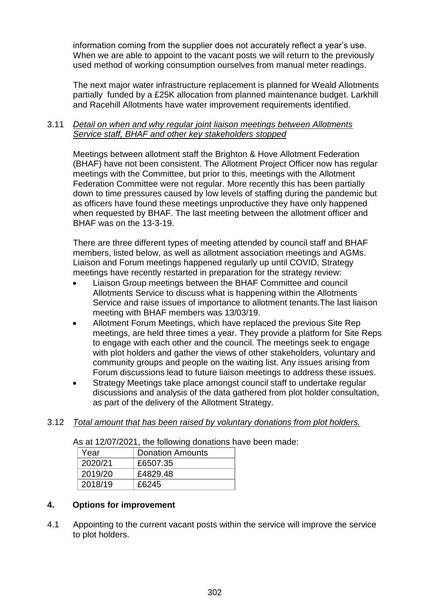information coming from the supplier does not accurately reflect a year's use. When we are able to appoint to the vacant posts we will return to the previously used method of working consumption ourselves from manual meter readings.

The next major water infrastructure replacement is planned for Weald Allotments partially funded by a £25K allocation from planned maintenance budget. Larkhill and Racehill Allotments have water improvement requirements identified.

#### 3.11 *Detail on when and why regular joint liaison meetings between Allotments Service staff, BHAF and other key stakeholders stopped*

Meetings between allotment staff the Brighton & Hove Allotment Federation (BHAF) have not been consistent. The Allotment Project Officer now has regular meetings with the Committee, but prior to this, meetings with the Allotment Federation Committee were not regular. More recently this has been partially down to time pressures caused by low levels of staffing during the pandemic but as officers have found these meetings unproductive they have only happened when requested by BHAF. The last meeting between the allotment officer and BHAF was on the 13-3-19.

There are three different types of meeting attended by council staff and BHAF members, listed below, as well as allotment association meetings and AGMs. Liaison and Forum meetings happened regularly up until COVID, Strategy meetings have recently restarted in preparation for the strategy review:

- Liaison Group meetings between the BHAF Committee and council Allotments Service to discuss what is happening within the Allotments Service and raise issues of importance to allotment tenants.The last liaison meeting with BHAF members was 13/03/19.
- Allotment Forum Meetings, which have replaced the previous Site Rep meetings, are held three times a year. They provide a platform for Site Reps to engage with each other and the council. The meetings seek to engage with plot holders and gather the views of other stakeholders, voluntary and community groups and people on the waiting list. Any issues arising from Forum discussions lead to future liaison meetings to address these issues.
- Strategy Meetings take place amongst council staff to undertake regular discussions and analysis of the data gathered from plot holder consultation, as part of the delivery of the Allotment Strategy.
- 3.12 *Total amount that has been raised by voluntary donations from plot holders.*

As at 12/07/2021, the following donations have been made:

| Year    | <b>Donation Amounts</b> |
|---------|-------------------------|
| 2020/21 | £6507.35                |
| 2019/20 | £4829.48                |
| 2018/19 | £6245                   |

## **4. Options for improvement**

4.1 Appointing to the current vacant posts within the service will improve the service to plot holders.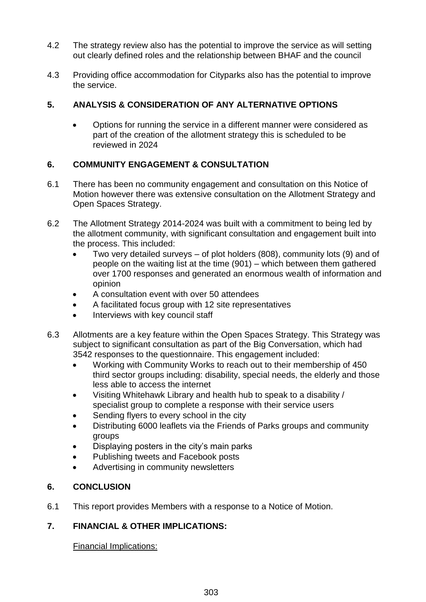- 4.2 The strategy review also has the potential to improve the service as will setting out clearly defined roles and the relationship between BHAF and the council
- 4.3 Providing office accommodation for Cityparks also has the potential to improve the service.

## **5. ANALYSIS & CONSIDERATION OF ANY ALTERNATIVE OPTIONS**

 Options for running the service in a different manner were considered as part of the creation of the allotment strategy this is scheduled to be reviewed in 2024

## **6. COMMUNITY ENGAGEMENT & CONSULTATION**

- 6.1 There has been no community engagement and consultation on this Notice of Motion however there was extensive consultation on the Allotment Strategy and Open Spaces Strategy.
- 6.2 The Allotment Strategy 2014-2024 was built with a commitment to being led by the allotment community, with significant consultation and engagement built into the process. This included:
	- Two very detailed surveys of plot holders (808), community lots (9) and of people on the waiting list at the time (901) – which between them gathered over 1700 responses and generated an enormous wealth of information and opinion
	- A consultation event with over 50 attendees
	- A facilitated focus group with 12 site representatives
	- Interviews with key council staff
- 6.3 Allotments are a key feature within the Open Spaces Strategy. This Strategy was subject to significant consultation as part of the Big Conversation, which had 3542 responses to the questionnaire. This engagement included:
	- Working with Community Works to reach out to their membership of 450 third sector groups including: disability, special needs, the elderly and those less able to access the internet
	- Visiting Whitehawk Library and health hub to speak to a disability / specialist group to complete a response with their service users
	- Sending flyers to every school in the city
	- Distributing 6000 leaflets via the Friends of Parks groups and community groups
	- Displaying posters in the city's main parks
	- Publishing tweets and Facebook posts
	- Advertising in community newsletters

# **6. CONCLUSION**

6.1 This report provides Members with a response to a Notice of Motion.

## **7. FINANCIAL & OTHER IMPLICATIONS:**

Financial Implications: